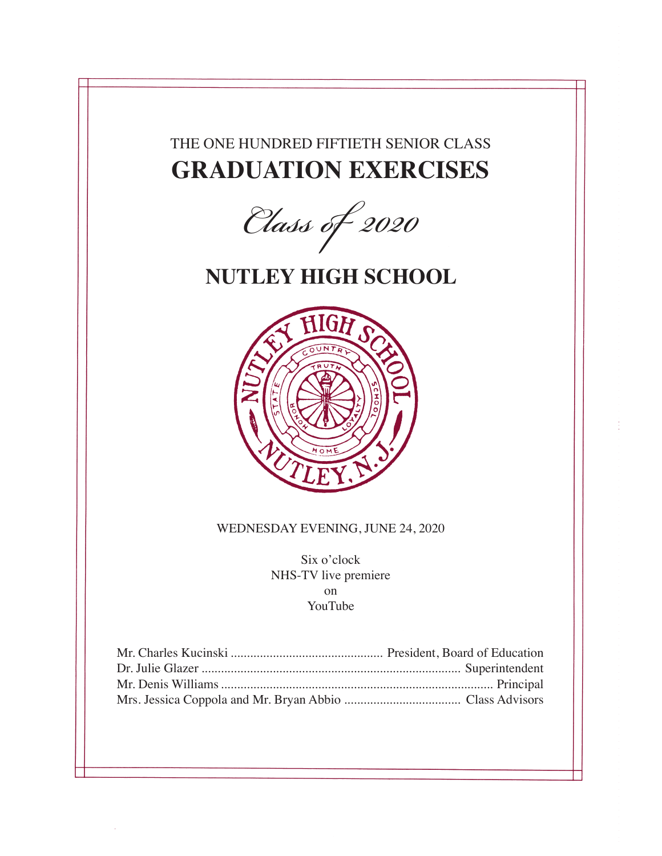## THE ONE HUNDRED FIFTIETH SENIOR CLASS **GRADUATION EXERCISES**

*Class of 2020*

## **NUTLEY HIGH SCHOOL**



### WEDNESDAY EVENING, JUNE 24, 2020

Six o'clock NHS-TV live premiere on YouTube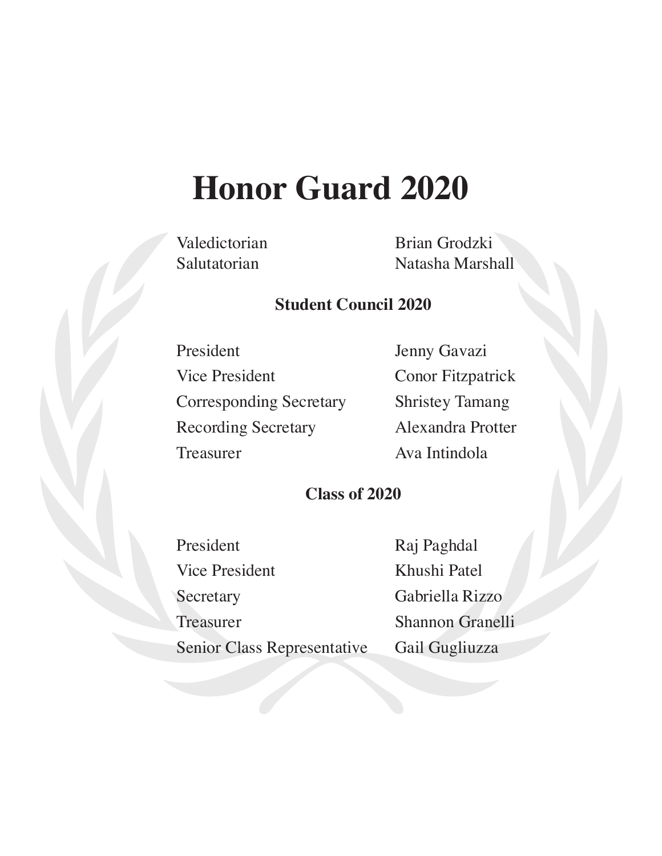# **Honor Guard 2020**

Valedictorian Brian Grodzki Salutatorian Natasha Marshall

### **Student Council 2020**

Recording Secretary Alexandra Protter Treasurer Ava Intindola

President Jenny Gavazi Vice President Conor Fitzpatrick Corresponding Secretary Shristey Tamang

## **Class of 2020**

President Raj Paghdal Vice President Khushi Patel Secretary Gabriella Rizzo Treasurer Shannon Granelli Senior Class Representative Gail Gugliuzza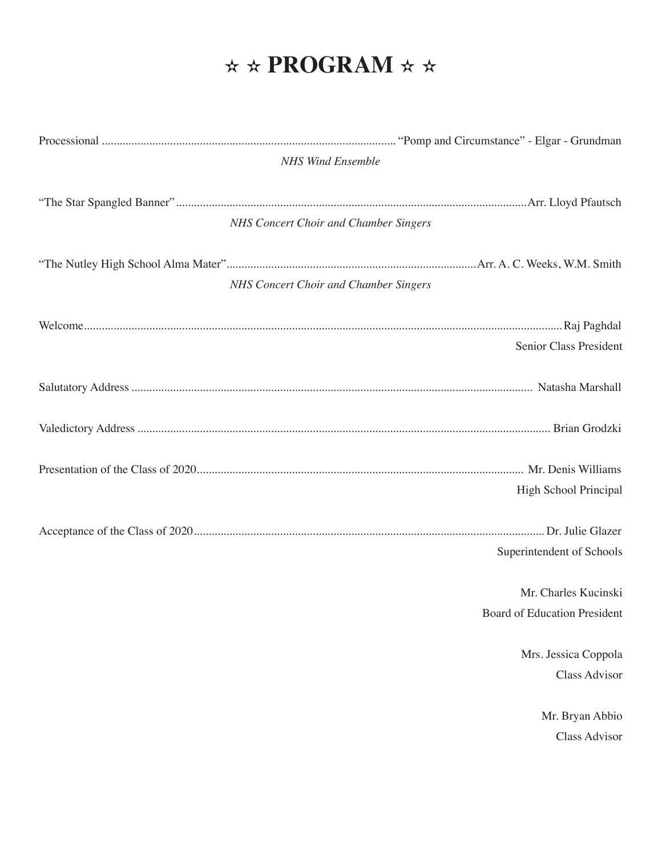## $\star \star$  **PROGRAM**  $\star \star$

| <b>NHS Wind Ensemble</b> |                                       |  |
|--------------------------|---------------------------------------|--|
|                          |                                       |  |
|                          | NHS Concert Choir and Chamber Singers |  |
|                          |                                       |  |
|                          | NHS Concert Choir and Chamber Singers |  |
|                          |                                       |  |
|                          | Senior Class President                |  |
|                          |                                       |  |
|                          |                                       |  |
|                          |                                       |  |
|                          | High School Principal                 |  |
|                          |                                       |  |
|                          | Superintendent of Schools             |  |
|                          | Mr. Charles Kucinski                  |  |
|                          | Board of Education President          |  |
|                          | Mrs. Jessica Coppola                  |  |
|                          | Class Advisor                         |  |
|                          | Mr. Bryan Abbio                       |  |
|                          | <b>Class Advisor</b>                  |  |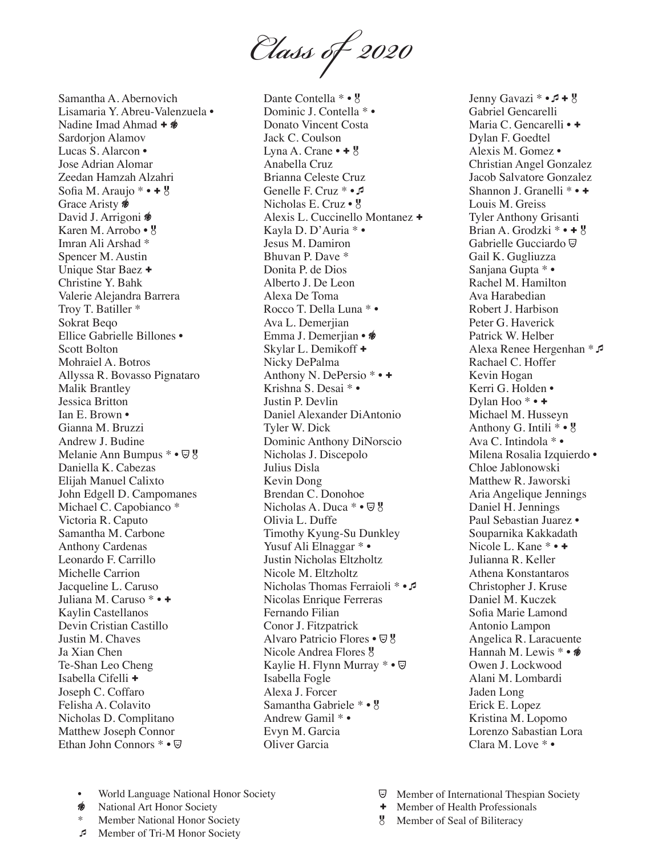*Class of 2020*

Samantha A. Abernovich Lisamaria Y. Abreu-Valenzuela • Nadine Imad Ahmad +  $\circledast$ Sardorjon Alamov Lucas S. Alarcon • Jose Adrian Alomar Zeedan Hamzah Alzahri Sofia M. Araujo  $* \cdot + 8$ Grace Aristy  $\frac{1}{2}$ David J. Arrigoni **\*** Karen M. Arrobo • Imran Ali Arshad \* Spencer M. Austin Unique Star Baez + Christine Y. Bahk Valerie Alejandra Barrera Troy T. Batiller \* Sokrat Beqo Ellice Gabrielle Billones • Scott Bolton Mohraiel A. Botros Allyssa R. Bovasso Pignataro Malik Brantley Jessica Britton Ian E. Brown • Gianna M. Bruzzi Andrew J. Budine Melanie Ann Bumpus \* •  $\overline{\mathbb{Q}}$  8 Daniella K. Cabezas Elijah Manuel Calixto John Edgell D. Campomanes Michael C. Capobianco \* Victoria R. Caputo Samantha M. Carbone Anthony Cardenas Leonardo F. Carrillo Michelle Carrion Jacqueline L. Caruso Juliana M. Caruso \* • + Kaylin Castellanos Devin Cristian Castillo Justin M. Chaves Ja Xian Chen Te-Shan Leo Cheng Isabella Cifelli + Joseph C. Coffaro Felisha A. Colavito Nicholas D. Complitano Matthew Joseph Connor Ethan John Connors \* •

Dante Contella \* • 8 Dominic J. Contella \* • Donato Vincent Costa Jack C. Coulson Lyna A. Crane  $\bullet$  +  $\frac{1}{8}$ Anabella Cruz Brianna Celeste Cruz Genelle F. Cruz \* • 5 Nicholas E. Cruz • 8 Alexis L. Cuccinello Montanez + Kayla D. D'Auria \* • Jesus M. Damiron Bhuvan P. Dave \* Donita P. de Dios Alberto J. De Leon Alexa De Toma Rocco T. Della Luna \* • Ava L. Demerjian Emma J. Demerjian • Skylar L. Demikoff + Nicky DePalma Anthony N. DePersio \* • + Krishna S. Desai \* • Justin P. Devlin Daniel Alexander DiAntonio Tyler W. Dick Dominic Anthony DiNorscio Nicholas J. Discepolo Julius Disla Kevin Dong Brendan C. Donohoe Nicholas A. Duca \* •  $\overline{\mathbb{Y}}$  8 Olivia L. Duffe Timothy Kyung-Su Dunkley Yusuf Ali Elnaggar \* • Justin Nicholas Eltzholtz Nicole M. Eltzholtz Nicholas Thomas Ferraioli \* • Nicolas Enrique Ferreras Fernando Filian Conor J. Fitzpatrick Alvaro Patricio Flores •  $\overline{\mathbb{Q}}$  <sup>8</sup> Nicole Andrea Flores Kaylie H. Flynn Murray \* •  $\textcircled{}$ Isabella Fogle Alexa J. Forcer Samantha Gabriele \* • g Andrew Gamil \* • Evyn M. Garcia Oliver Garcia

Jenny Gavazi  $* \cdot 7 + 8$ Gabriel Gencarelli Maria C. Gencarelli • + Dylan F. Goedtel Alexis M. Gomez • Christian Angel Gonzalez Jacob Salvatore Gonzalez Shannon J. Granelli \* • + Louis M. Greiss Tyler Anthony Grisanti Brian A. Grodzki  $* \cdot + g$ Gabrielle Gucciardo<sup> $\textcircled{}$ </sup> Gail K. Gugliuzza Sanjana Gupta \* • Rachel M. Hamilton Ava Harabedian Robert J. Harbison Peter G. Haverick Patrick W. Helber Alexa Renee Hergenhan \* Rachael C. Hoffer Kevin Hogan Kerri G. Holden • Dylan Hoo<sup>\*</sup> • + Michael M. Husseyn Anthony G. Intili  $* \cdot 9$ Ava C. Intindola \* • Milena Rosalia Izquierdo • Chloe Jablonowski Matthew R. Jaworski Aria Angelique Jennings Daniel H. Jennings Paul Sebastian Juarez • Souparnika Kakkadath Nicole L. Kane \* • + Julianna R. Keller Athena Konstantaros Christopher J. Kruse Daniel M. Kuczek Sofia Marie Lamond Antonio Lampon Angelica R. Laracuente Hannah M. Lewis \* •  $\hat{\mathscr{B}}$ Owen J. Lockwood Alani M. Lombardi Jaden Long Erick E. Lopez Kristina M. Lopomo Lorenzo Sabastian Lora Clara M. Love \* •

- World Language National Honor Society
- ∕ଈ National Art Honor Society
- Member National Honor Society
- Member of Tri-M Honor Society
- **Wember of International Thespian Society**
- + Member of Health Professionals
- Member of Seal of Biliteracy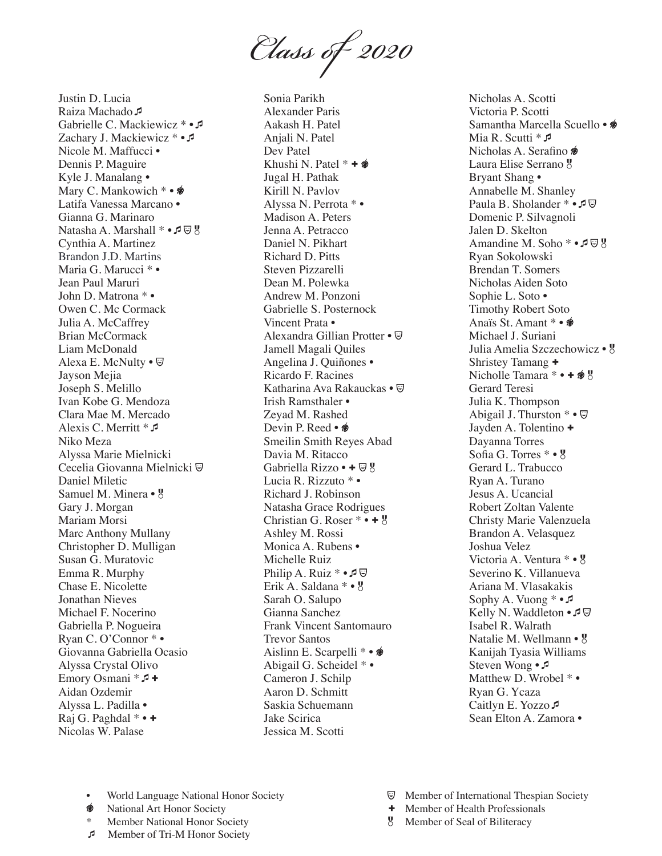*Class of 2020*

Justin D. Lucia Raiza Machado A Gabrielle C. Mackiewicz \* • Zachary J. Mackiewicz \* • 5 Nicole M. Maffucci • Dennis P. Maguire Kyle J. Manalang • Mary C. Mankowich \* •  $\circledast$ Latifa Vanessa Marcano • Gianna G. Marinaro Natasha A. Marshall \* • **□** 9 Cynthia A. Martinez Maria G. Marucci \* • Jean Paul Maruri John D. Matrona \* • Owen C. Mc Cormack Julia A. McCaffrey Brian McCormack Liam McDonald Alexa E. McNulty  $\cdot \nabla$ Jayson Mejia Joseph S. Melillo Ivan Kobe G. Mendoza Clara Mae M. Mercado Alexis C. Merritt \*  $\sqrt{2}$ Niko Meza Alyssa Marie Mielnicki Cecelia Giovanna Mielnicki Daniel Miletic Samuel M. Minera •  $\frac{1}{5}$ Gary J. Morgan Mariam Morsi Marc Anthony Mullany Christopher D. Mulligan Susan G. Muratovic Emma R. Murphy Chase E. Nicolette Jonathan Nieves Michael F. Nocerino Gabriella P. Nogueira Ryan C. O'Connor \* • Giovanna Gabriella Ocasio Alyssa Crystal Olivo Emory Osmani  $*I$ + Aidan Ozdemir Alyssa L. Padilla • Raj G. Paghdal  $* \cdot \cdot \cdot$ Nicolas W. Palase Brandon J.D. Martins

Sonia Parikh Alexander Paris Aakash H. Patel Anjali N. Patel Dev Patel Khushi N. Patel  $* + \n\mathcal{B}$ Jugal H. Pathak Kirill N. Pavlov Alyssa N. Perrota \* • Madison A. Peters Jenna A. Petracco Daniel N. Pikhart Richard D. Pitts Steven Pizzarelli Dean M. Polewka Andrew M. Ponzoni Gabrielle S. Posternock Vincent Prata • Alexandra Gillian Protter • Jamell Magali Quiles Angelina J. Quiñones • Ricardo F. Racines Katharina Ava Rakauckas • Irish Ramsthaler • Zeyad M. Rashed Devin P. Reed • <del>\*</del> Smeilin Smith Reyes Abad Davia M. Ritacco Gabriella Rizzo • +  $\mathbb{Q}$  g Lucia R. Rizzuto \* • Richard J. Robinson Natasha Grace Rodrigues Christian G. Roser  $* \cdot + \frac{1}{6}$ Ashley M. Rossi Monica A. Rubens • Michelle Ruiz Philip A. Ruiz \* • ♪ ワ Erik A. Saldana \* • Sarah O. Salupo Gianna Sanchez Frank Vincent Santomauro Trevor Santos Aislinn E. Scarpelli \* •  $\hat{\mathscr{B}}$ Abigail G. Scheidel \* • Cameron J. Schilp Aaron D. Schmitt Saskia Schuemann Jake Scirica Jessica M. Scotti

Nicholas A. Scotti Victoria P. Scotti Samantha Marcella Scuello •  $\frac{1}{2}$ Mia R. Scutti \*  $\sqrt{2}$ Nicholas A. Serafino Laura Elise Serrano Bryant Shang • Annabelle M. Shanley Paula B. Sholander \* • *P*  $\boxdot$ Domenic P. Silvagnoli Jalen D. Skelton Amandine M. Soho \* • 5 9 Ryan Sokolowski Brendan T. Somers Nicholas Aiden Soto Sophie L. Soto • Timothy Robert Soto Anaïs St. Amant \* • Michael J. Suriani Julia Amelia Szczechowicz • Shristey Tamang + Nicholle Tamara  $* \cdot + \mathcal{B}$ Gerard Teresi Julia K. Thompson Abigail J. Thurston  $* \bullet \nabla$ Jayden A. Tolentino + Dayanna Torres Sofia G. Torres \* • 8 Gerard L. Trabucco Ryan A. Turano Jesus A. Ucancial Robert Zoltan Valente Christy Marie Valenzuela Brandon A. Velasquez Joshua Velez Victoria A. Ventura \* • 8 Severino K. Villanueva Ariana M. Vlasakakis Sophy A. Vuong \* • Kelly N. Waddleton  $\cdot \mathcal{I} \nabla$ Isabel R. Walrath Natalie M. Wellmann • Kanijah Tyasia Williams Steven Wong • Matthew D. Wrobel  $* \bullet$ Ryan G. Ycaza Caitlyn E. Yozzo Sean Elton A. Zamora •

- World Language National Honor Society
- അ∕ National Art Honor Society
- Member National Honor Society
- Member of Tri-M Honor Society
- **Wember of International Thespian Society**
- + Member of Health Professionals
- Member of Seal of Biliteracy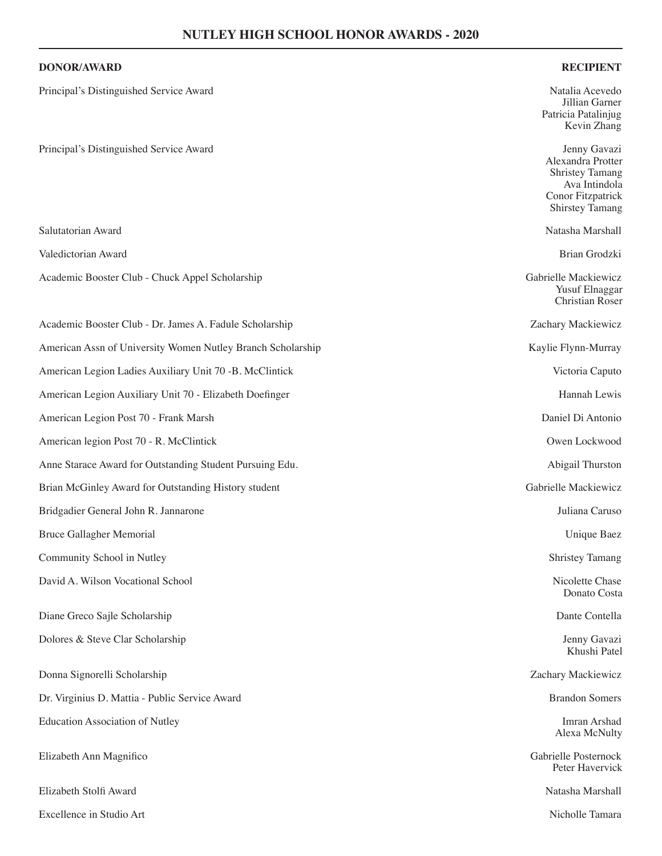### **DONOR/AWARD RECIPIENT**

| Principal's Distinguished Service Award                     | Natalia Acevedo<br>Jillian Garner<br>Patricia Patalinjug<br>Kevin Zhang                                                     |
|-------------------------------------------------------------|-----------------------------------------------------------------------------------------------------------------------------|
| Principal's Distinguished Service Award                     | Jenny Gavazi<br>Alexandra Protter<br><b>Shristey Tamang</b><br>Ava Intindola<br>Conor Fitzpatrick<br><b>Shirstey Tamang</b> |
| Salutatorian Award                                          | Natasha Marshall                                                                                                            |
| Valedictorian Award                                         | Brian Grodzki                                                                                                               |
| Academic Booster Club - Chuck Appel Scholarship             | Gabrielle Mackiewicz<br><b>Yusuf Elnaggar</b><br><b>Christian Roser</b>                                                     |
| Academic Booster Club - Dr. James A. Fadule Scholarship     | Zachary Mackiewicz                                                                                                          |
| American Assn of University Women Nutley Branch Scholarship | Kaylie Flynn-Murray                                                                                                         |
| American Legion Ladies Auxiliary Unit 70 -B. McClintick     | Victoria Caputo                                                                                                             |
| American Legion Auxiliary Unit 70 - Elizabeth Doefinger     | Hannah Lewis                                                                                                                |
| American Legion Post 70 - Frank Marsh                       | Daniel Di Antonio                                                                                                           |
| American legion Post 70 - R. McClintick                     | Owen Lockwood                                                                                                               |
| Anne Starace Award for Outstanding Student Pursuing Edu.    | Abigail Thurston                                                                                                            |
| Brian McGinley Award for Outstanding History student        | Gabrielle Mackiewicz                                                                                                        |
| Bridgadier General John R. Jannarone                        | Juliana Caruso                                                                                                              |
| Bruce Gallagher Memorial                                    | Unique Baez                                                                                                                 |
| Community School in Nutley                                  | <b>Shristey Tamang</b>                                                                                                      |
| David A. Wilson Vocational School                           | Nicolette Chase<br>Donato Costa                                                                                             |
| Diane Greco Sajle Scholarship                               | Dante Contella                                                                                                              |
| Dolores & Steve Clar Scholarship                            | Jenny Gavazi<br>Khushi Patel                                                                                                |
| Donna Signorelli Scholarship                                | Zachary Mackiewicz                                                                                                          |
| Dr. Virginius D. Mattia - Public Service Award              | <b>Brandon Somers</b>                                                                                                       |
| <b>Education Association of Nutley</b>                      | Imran Arshad<br>Alexa McNulty                                                                                               |
| Elizabeth Ann Magnifico                                     | Gabrielle Posternock<br>Peter Havervick                                                                                     |
| Elizabeth Stolfi Award                                      | Natasha Marshall                                                                                                            |

- Excellence in Studio Art Nicholle Tamara
	-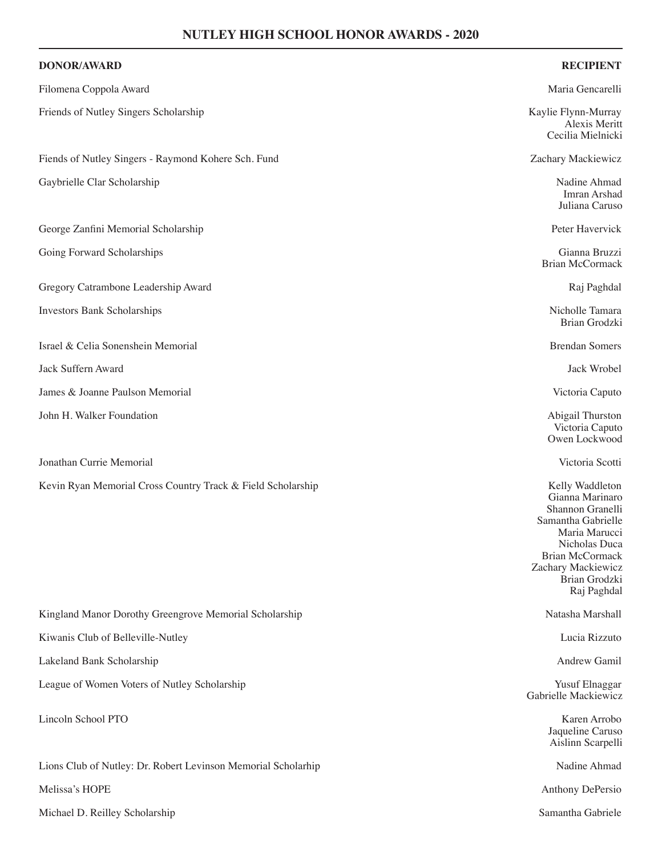| <b>DONOR/AWARD</b>                                            | <b>RECIPIENT</b>                                                                                                                                                                               |
|---------------------------------------------------------------|------------------------------------------------------------------------------------------------------------------------------------------------------------------------------------------------|
| Filomena Coppola Award                                        | Maria Gencarelli                                                                                                                                                                               |
| Friends of Nutley Singers Scholarship                         | Kaylie Flynn-Murray<br>Alexis Meritt<br>Cecilia Mielnicki                                                                                                                                      |
| Fiends of Nutley Singers - Raymond Kohere Sch. Fund           | Zachary Mackiewicz                                                                                                                                                                             |
| Gaybrielle Clar Scholarship                                   | Nadine Ahmad<br>Imran Arshad<br>Juliana Caruso                                                                                                                                                 |
| George Zanfini Memorial Scholarship                           | Peter Havervick                                                                                                                                                                                |
| Going Forward Scholarships                                    | Gianna Bruzzi<br><b>Brian McCormack</b>                                                                                                                                                        |
| Gregory Catrambone Leadership Award                           | Raj Paghdal                                                                                                                                                                                    |
| <b>Investors Bank Scholarships</b>                            | Nicholle Tamara<br><b>Brian Grodzki</b>                                                                                                                                                        |
| Israel & Celia Sonenshein Memorial                            | <b>Brendan Somers</b>                                                                                                                                                                          |
| Jack Suffern Award                                            | Jack Wrobel                                                                                                                                                                                    |
| James & Joanne Paulson Memorial                               | Victoria Caputo                                                                                                                                                                                |
| John H. Walker Foundation                                     | Abigail Thurston<br>Victoria Caputo<br>Owen Lockwood                                                                                                                                           |
| Jonathan Currie Memorial                                      | Victoria Scotti                                                                                                                                                                                |
| Kevin Ryan Memorial Cross Country Track & Field Scholarship   | Kelly Waddleton<br>Gianna Marinaro<br>Shannon Granelli<br>Samantha Gabrielle<br>Maria Marucci<br>Nicholas Duca<br><b>Brian McCormack</b><br>Zachary Mackiewicz<br>Brian Grodzki<br>Raj Paghdal |
| Kingland Manor Dorothy Greengrove Memorial Scholarship        | Natasha Marshall                                                                                                                                                                               |
| Kiwanis Club of Belleville-Nutley                             | Lucia Rizzuto                                                                                                                                                                                  |
| Lakeland Bank Scholarship                                     | Andrew Gamil                                                                                                                                                                                   |
| League of Women Voters of Nutley Scholarship                  | <b>Yusuf Elnaggar</b><br>Gabrielle Mackiewicz                                                                                                                                                  |
| Lincoln School PTO                                            | Karen Arrobo<br>Jaqueline Caruso<br>Aislinn Scarpelli                                                                                                                                          |
| Lions Club of Nutley: Dr. Robert Levinson Memorial Scholarhip | Nadine Ahmad                                                                                                                                                                                   |
| Melissa's HOPE                                                | Anthony DePersio                                                                                                                                                                               |
| Michael D. Reilley Scholarship                                | Samantha Gabriele                                                                                                                                                                              |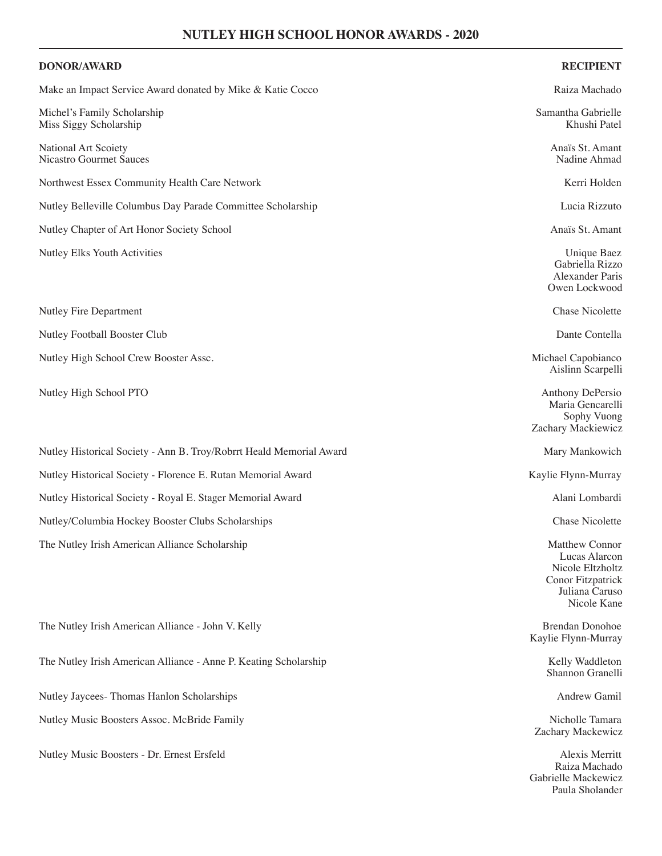## **DONOR/AWARD RECIPIENT** Make an Impact Service Award donated by Mike & Katie Cocco **Raiza Machado** Raiza Machado Michel's Family Scholarship Samantha Gabrielle Samantha Gabrielle Samantha Gabrielle Miss Siggy Scholarship Khushi Patel National Art Scoiety<br>
Nicastro Gourmet Sauces<br>
National Art Scoiety<br>
National Art Scoiety<br>
National Art Scoiety<br>
National Art Scoiety<br>
National Art Scoiety<br>
National Art Scoiety<br>
National Art Scoiety<br>
National Art Scoiety<br> Nicastro Gourmet Sauces Northwest Essex Community Health Care Network **Kerri Holden** Kerri Holden Nutley Belleville Columbus Day Parade Committee Scholarship Lucia Rizzuto Nutley Chapter of Art Honor Society School Anaïs St. Amant Nutley Elks Youth Activities Unique Baez Gabriella Rizzo Alexander Paris Owen Lockwood Nutley Fire Department Chase Nicolette Nutley Football Booster Club Dante Contella and the Dante Contella and Dante Contella and Dante Contella Nutley High School Crew Booster Assc. **Michael Capobianco** and Michael Capobianco Aislinn Scarpelli Nutley High School PTO **Anthony DePersio** Anthony DePersio Maria Gencarelli Sophy Vuong Zachary Mackiewicz Nutley Historical Society - Ann B. Troy/Robrrt Heald Memorial Award Manus Mary Mankowich Nutley Historical Society - Florence E. Rutan Memorial Award Kaylie Flynn-Murray Kaylie Flynn-Murray Nutley Historical Society - Royal E. Stager Memorial Award Alani Lombardi Nutley/Columbia Hockey Booster Clubs Scholarships Chase Nicolette The Nutley Irish American Alliance Scholarship Matthew Connor Lucas Alarcon Nicole Eltzholtz

The Nutley Irish American Alliance - John V. Kelly Brendan Donohoe Brendan Donohoe The Nutley Irish American Alliance - Anne P. Keating Scholarship Kelly Waddleton Kelly Waddleton Nutley Jaycees- Thomas Hanlon Scholarships Andrew Gamil Nutley Music Boosters Assoc. McBride Family Nicholle Tamara Nicholle Tamara Nutley Music Boosters - Dr. Ernest Ersfeld Alexis Merritt

Kaylie Flynn-Murray

Conor Fitzpatrick Juliana Caruso Nicole Kane

Shannon Granelli

Zachary Mackewicz

Raiza Machado Gabrielle Mackewicz Paula Sholander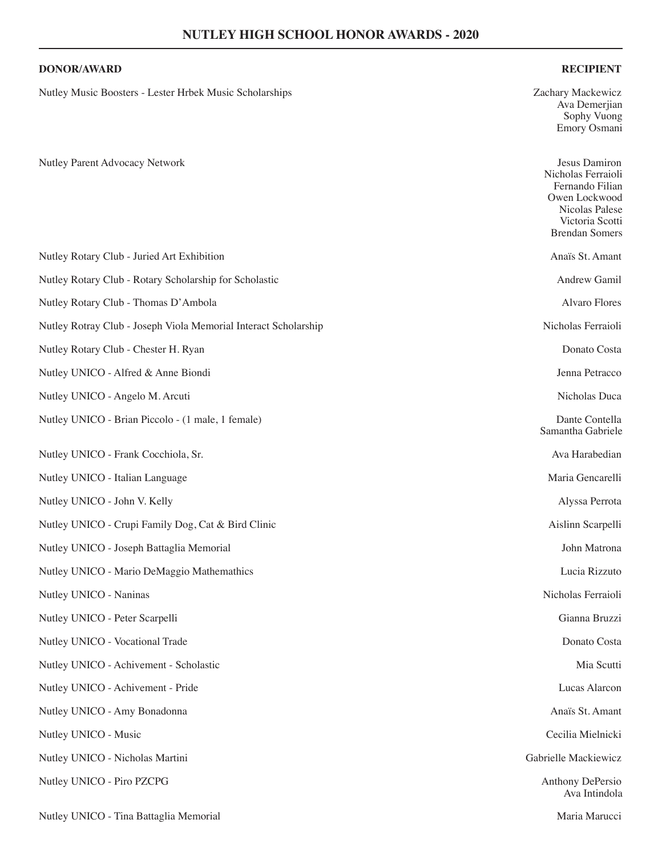### **DONOR/AWARD RECIPIENT**

Nutley Music Boosters - Lester Hrbek Music Scholarships Zachary Mackewicz

Nutley Parent Advocacy Network Jesus Damiron

|                                                                 | Owen Lockwood<br>Nicolas Palese<br>Victoria Scotti<br><b>Brendan Somers</b> |
|-----------------------------------------------------------------|-----------------------------------------------------------------------------|
| Nutley Rotary Club - Juried Art Exhibition                      | Anaïs St. Amant                                                             |
| Nutley Rotary Club - Rotary Scholarship for Scholastic          | Andrew Gamil                                                                |
| Nutley Rotary Club - Thomas D'Ambola                            | <b>Alvaro Flores</b>                                                        |
| Nutley Rotray Club - Joseph Viola Memorial Interact Scholarship | Nicholas Ferraioli                                                          |
| Nutley Rotary Club - Chester H. Ryan                            | Donato Costa                                                                |
| Nutley UNICO - Alfred & Anne Biondi                             | Jenna Petracco                                                              |
| Nutley UNICO - Angelo M. Arcuti                                 | Nicholas Duca                                                               |
| Nutley UNICO - Brian Piccolo - (1 male, 1 female)               | Dante Contella<br>Samantha Gabriele                                         |
| Nutley UNICO - Frank Cocchiola, Sr.                             | Ava Harabedian                                                              |
| Nutley UNICO - Italian Language                                 | Maria Gencarelli                                                            |
| Nutley UNICO - John V. Kelly                                    | Alyssa Perrota                                                              |
| Nutley UNICO - Crupi Family Dog, Cat & Bird Clinic              | Aislinn Scarpelli                                                           |
| Nutley UNICO - Joseph Battaglia Memorial                        | John Matrona                                                                |
| Nutley UNICO - Mario DeMaggio Mathemathics                      | Lucia Rizzuto                                                               |
| Nutley UNICO - Naninas                                          | Nicholas Ferraioli                                                          |
| Nutley UNICO - Peter Scarpelli                                  | Gianna Bruzzi                                                               |
| Nutley UNICO - Vocational Trade                                 | Donato Costa                                                                |
| Nutley UNICO - Achivement - Scholastic                          | Mia Scutti                                                                  |
| Nutley UNICO - Achivement - Pride                               | Lucas Alarcon                                                               |
| Nutley UNICO - Amy Bonadonna                                    | Anaïs St. Amant                                                             |
| Nutley UNICO - Music                                            | Cecilia Mielnicki                                                           |
| Nutley UNICO - Nicholas Martini                                 | Gabrielle Mackiewicz                                                        |
| Nutley UNICO - Piro PZCPG                                       | Anthony DePersio<br>Ava Intindola                                           |

Ava Demerjian Sophy Vuong Emory Osmani

Nicholas Ferraioli Fernando Filian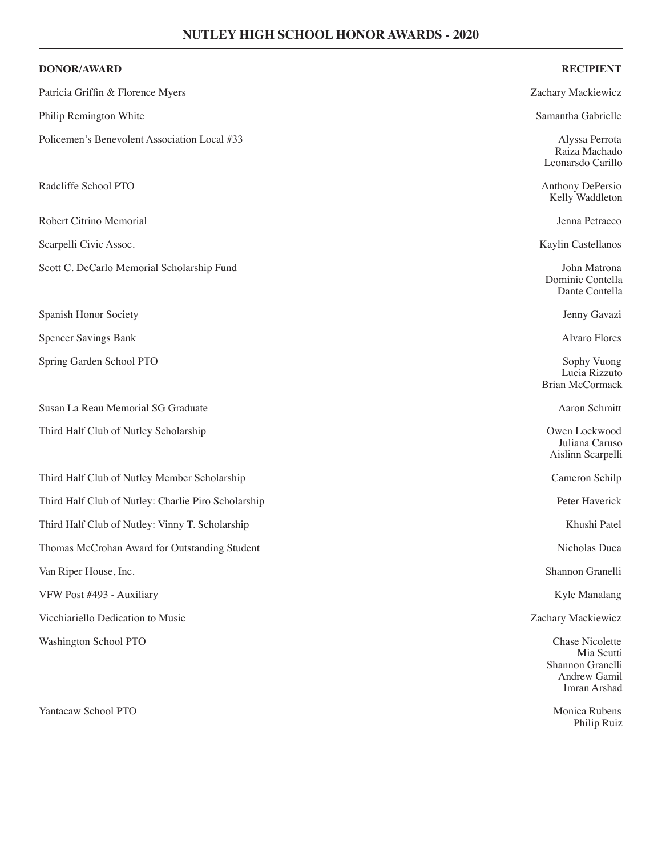| <b>DONOR/AWARD</b>                                  | <b>RECIPIENT</b>                                                                         |
|-----------------------------------------------------|------------------------------------------------------------------------------------------|
| Patricia Griffin & Florence Myers                   | Zachary Mackiewicz                                                                       |
| Philip Remington White                              | Samantha Gabrielle                                                                       |
| Policemen's Benevolent Association Local #33        | Alyssa Perrota<br>Raiza Machado<br>Leonarsdo Carillo                                     |
| Radcliffe School PTO                                | Anthony DePersio<br>Kelly Waddleton                                                      |
| Robert Citrino Memorial                             | Jenna Petracco                                                                           |
| Scarpelli Civic Assoc.                              | Kaylin Castellanos                                                                       |
| Scott C. DeCarlo Memorial Scholarship Fund          | John Matrona<br>Dominic Contella<br>Dante Contella                                       |
| Spanish Honor Society                               | Jenny Gavazi                                                                             |
| <b>Spencer Savings Bank</b>                         | <b>Alvaro Flores</b>                                                                     |
| Spring Garden School PTO                            | Sophy Vuong<br>Lucia Rizzuto<br><b>Brian McCormack</b>                                   |
| Susan La Reau Memorial SG Graduate                  | Aaron Schmitt                                                                            |
| Third Half Club of Nutley Scholarship               | Owen Lockwood<br>Juliana Caruso<br>Aislinn Scarpelli                                     |
| Third Half Club of Nutley Member Scholarship        | Cameron Schilp                                                                           |
| Third Half Club of Nutley: Charlie Piro Scholarship | Peter Haverick                                                                           |
| Third Half Club of Nutley: Vinny T. Scholarship     | Khushi Patel                                                                             |
| Thomas McCrohan Award for Outstanding Student       | Nicholas Duca                                                                            |
| Van Riper House, Inc.                               | Shannon Granelli                                                                         |
| VFW Post #493 - Auxiliary                           | Kyle Manalang                                                                            |
| Vicchiariello Dedication to Music                   | Zachary Mackiewicz                                                                       |
| Washington School PTO                               | <b>Chase Nicolette</b><br>Mia Scutti<br>Shannon Granelli<br>Andrew Gamil<br>Imran Arshad |

Philip Ruiz

Yantacaw School PTO Monica Rubens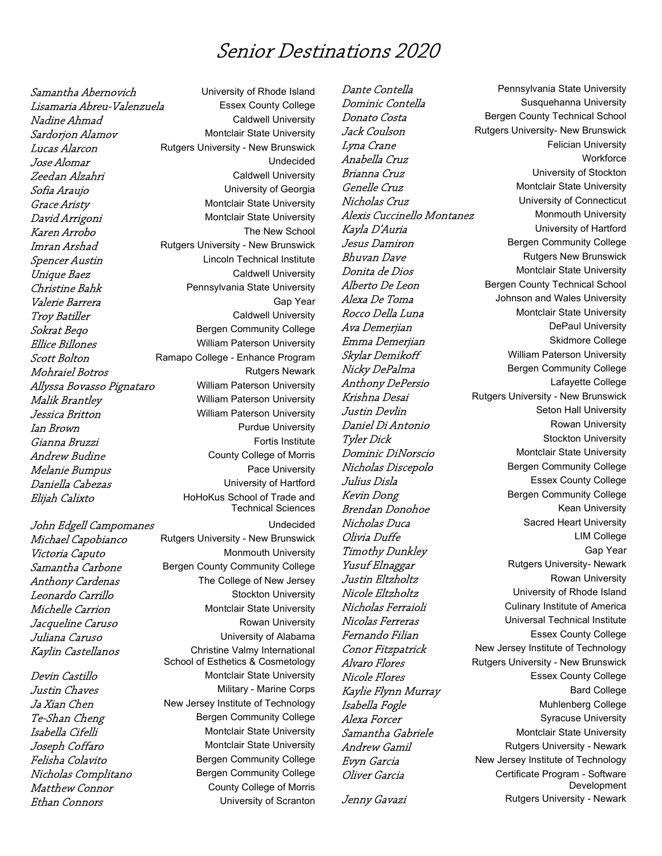## Senior Destinations 2020

Leonardo Carrillo

Nicholas Complitano Bergen Community College Matthew Connor County County College of Morris **Ethan Connors** Connocal Connocal University of Scranton

Samantha Abernovich University of Rhode Island Lisamaria Abreu-Valenzuela Essex County College Nadine Ahmad Caldwell University Sardorion Alamov Montclair State University **Lucas Alarcon** Rutgers University - New Brunswick **Jose Alomar** Undecided Zeedan Alzahri Caldwell University Sofia Araujo **Exercice Sofia Araujo** University of Georgia Grace Aristy **Montclair State University** David Arrigoni Montclair State University Karen Arrobo The New School **Imran Arshad** Rutgers University - New Brunswick Spencer Austin **Spencer Austin** Lincoln Technical Institute **Unique Baez** Caldwell University Christine Bahk **Pennsylvania State University** Valerie Barrera Gap Year **Troy Batiller** Caldwell University Sokrat Bego Bergen Community College **Ellice Billones** William Paterson University Scott Bolton Ramapo College - Enhance Program **Mohraiel Botros Rutgers Newark** Allyssa Bovasso Pignataro William Paterson University Malik Brantley Milliam Paterson University **Jessica Britton** William Paterson University **Ian Brown Purdue University** Gianna Bruzzi **Fortis Institute** Andrew Budine County College of Morris Melanie Bumpus **Pace University Daniella Cabezas** Cabezas University of Hartford Elijah Calixto HoHoKus School of Trade and Technical Sciences John Edgell Campomanes The Undecided Michael Capobianco Rutgers University - New Brunswick Victoria Caputo Monmouth University Samantha Carbone Bergen County Community College Anthony Cardenas<br>
Leonardo Carrillo<br>
Leonardo Carrillo Michelle Carrion Montclair State University Jacqueline Caruso **Rowan University** Juliana Caruso University of Alabama Kaylin Castellanos Christine Valmy International School of Esthetics & Cosmetology **Devin Castillo** Montclair State University **Justin Chaves** Military - Marine Corps Ja Xian Chen New Jersey Institute of Technology Te-Shan Cheng Bergen Community College Isabella Cifelli Montclair State University **Joseph Coffaro** Montclair State University Felisha Colavito **Bergen Community College** 

Dante Contella **Pennsylvania State University** Dominic Contella Susquehanna University **Donato Costa** Bergen County Technical School **Jack Coulson** Rutgers University- New Brunswick **Lyna Crane Felician University** Anabella Cruz and a control workforce **Brianna Cruz** Controllering University of Stockton Genelle Cruz **Montclair State University** Nicholas Cruz **University of Connecticut** Alexis Cuccinello Montanez Monmouth University Kayla D'Auria **Exercía e Senator de Constantino de La Constantino de La Constantino de La Constantino de La Co Jesus Damiron** Bergen Community College **Bhuvan Dave Rutgers New Brunswick** Donita de Dios Montclair State University Alberto De Leon Bergen County Technical School Alexa De Toma<br>
Johnson and Wales University Rocco Della Luna Montclair State University Ava Demerjian **Depaul University** Emma Demerjian Skidmore College Skylar Demikoff William Paterson University Nicky DePalma Bergen Community College Anthony DePersio and Lafayette College Krishna Desai Rutgers University - New Brunswick **Justin Devlin** Seton Hall University **Daniel Di Antonio Rowan University** Tyler Dick **Stockton** Stockton University **Dominic DiNorscio** Montclair State University Nicholas Discepolo Bergen Community College **Julius Disla Essex County College** Kevin Dong **Bergen** Community College **Brendan Donohoe** Kean University Nicholas Duca Sacred Heart University Olivia Duffe LIM College Timothy Dunkley Gap Year Yusuf Elnaggar Rutgers University- Newark **Justin Eltzholtz Rowan University** Nicole Eltzholtz **University of Rhode Island** Nicholas Ferraioli **Nicholas Ferraioli** Culinary Institute of America Nicolas Ferreras Contract Universal Technical Institute Fernando Filian Essex County College Conor Fitzpatrick New Jersey Institute of Technology Alvaro Flores **Rutgers University - New Brunswick** Nicole Flores **ESSEX** County College Kaylie Flynn Murray National College Isabella Fogle Muhlenberg College Alexa Forcer Syracuse University Samantha Gabriele Montclair State University Andrew Gamil **Andrew Gamil** Rutgers University - Newark Evyn Garcia **New Jersey Institute of Technology** Oliver Garcia Certificate Program - Software Development Jenny Gavazi **Rutgers University - Newark**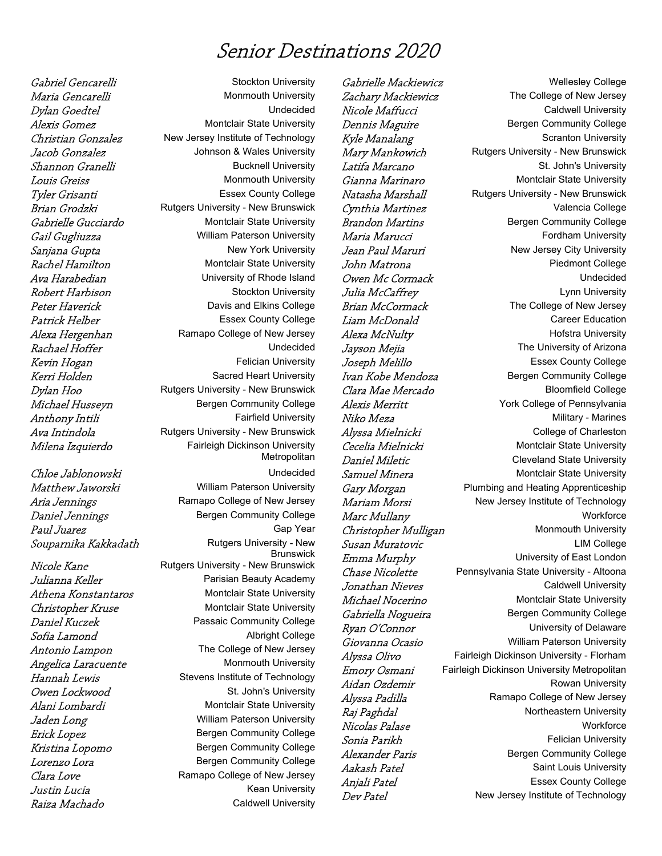## Senior Destinations 2020

Anthony Intili

**Raiza Machado** Caldwell University

Gabriel Gencarelli Stockton University **Maria Gencarelli** Monmouth University Dylan Goedtel Undecided Alexis Gomez Montclair State University Christian Gonzalez New Jersey Institute of Technology Jacob Gonzalez Johnson & Wales University **Shannon Granelli** Bucknell University **Louis Greiss** Monmouth University **Tyler Grisanti** Essex County College **Brian Grodzki** Rutgers University - New Brunswick Gabrielle Gucciardo Montclair State University Gail Gugliuzza William Paterson University Sanjana Gupta New York University Rachel Hamilton Montclair State University Ava Harabedian Music Christopher University of Rhode Island Robert Harbison Stockton University Peter Haverick Davis and Elkins College Patrick Helber **Essex County College** Alexa Hergenhan Ramapo College of New Jersey Rachael Hoffer **No. 1988** Undecided Kevin Hogan **Felician** University Kerri Holden Sacred Heart University Dylan Hoo Rutgers University - New Brunswick Michael Husseyn Bergen Community College<br>Anthony Intili Bergen Community College Ava Intindola Rutgers University - New Brunswick Milena Izquierdo Fairleigh Dickinson University **Metropolitan** Chloe Jablonowski Undecided Matthew Jaworski William Paterson University Aria Jennings Ramapo College of New Jersey Daniel Jennings **Bergen Community College** Paul Juarez **Gap Year** Souparnika Kakkadath Rutgers University - New **Brunswick** Nicole Kane Rutgers University - New Brunswick Julianna Keller **Parisian Beauty Academy** Athena Konstantaros Montclair State University Christopher Kruse Montclair State University Daniel Kuczek **Passaic Community College** Sofia Lamond **Albright College** Antonio Lampon The College of New Jersey Angelica Laracuente Monmouth University Hannah Lewis Stevens Institute of Technology Owen Lockwood St. John's University Alani Lombardi Montclair State University Jaden Long William Paterson University Erick Lopez **Bergen Community College** Kristina Lopomo<br>
Bergen Community College **Lorenzo Lora** Bergen Community College Clara Love Clara College of New Jersey **Justin Lucia** Manuel Communication Communications and Kean University

Christopher Mulligan Aidan Ozdemir

Gabrielle Mackiewicz Mellesley College Zachary Mackiewicz The College of New Jersey Nicole Maffucci **Caldwell University Dennis Maguire Bergen Community College** Kyle Manalang Scranton University Mary Mankowich Rutgers University - New Brunswick **Latifa Marcano** St. John's University Gianna Marinaro Montclair State University Natasha Marshall Rutgers University - New Brunswick Cynthia Martinez **Valencia College Brandon Martins** Bergen Community College **Maria Marucci Fordham University** Jean Paul Maruri New Jersey City University **John Matrona Piedmont College** Owen Mc Cormack Undecided **Julia McCaffrey Lynn University Brian McCormack** The College of New Jersey **Liam McDonald** Career Education Alexa McNulty **Alexa McNulty Hofstra University** Jayson Mejia **The University of Arizona** Joseph Melillo **Essex County College Ivan Kobe Mendoza** Bergen Community College Clara Mae Mercado Bloomfield College Alexis Merritt York College of Pennsylvania Niko Meza **Military - Marines** Alyssa Mielnicki College of Charleston Cecelia Mielnicki Montclair State University Daniel Miletic Cleveland State University **Samuel Minera** Montclair State University Gary Morgan Plumbing and Heating Apprenticeship Mariam Morsi New Jersey Institute of Technology Marc Mullany<br>
Christopher Mulligan Monmouth University Susan Muratovic **College** LIM College Emma Murphy University of East London Chase Nicolette Pennsylvania State University - Altoona Jonathan Nieves Caldwell University Michael Nocerino Montclair State University Gabriella Nogueira **Bergen Community College** Ryan O'Connor University of Delaware Giovanna Ocasio **William Paterson University** Alyssa Olivo Fairleigh Dickinson University - Florham *Emory Osmani* Fairleigh Dickinson University Metropolitan<br>Aidan Ozdemir Alyssa Padilla Ramapo College of New Jersey Raj Paghdal Northeastern University Nicolas Palase **Workforce** Workforce Sonia Parikh Felician University Alexander Paris Bergen Community College Aakash Patel Saint Louis University Anjali Patel **Anjali Patel** Essex County College Dev Patel New Jersey Institute of Technology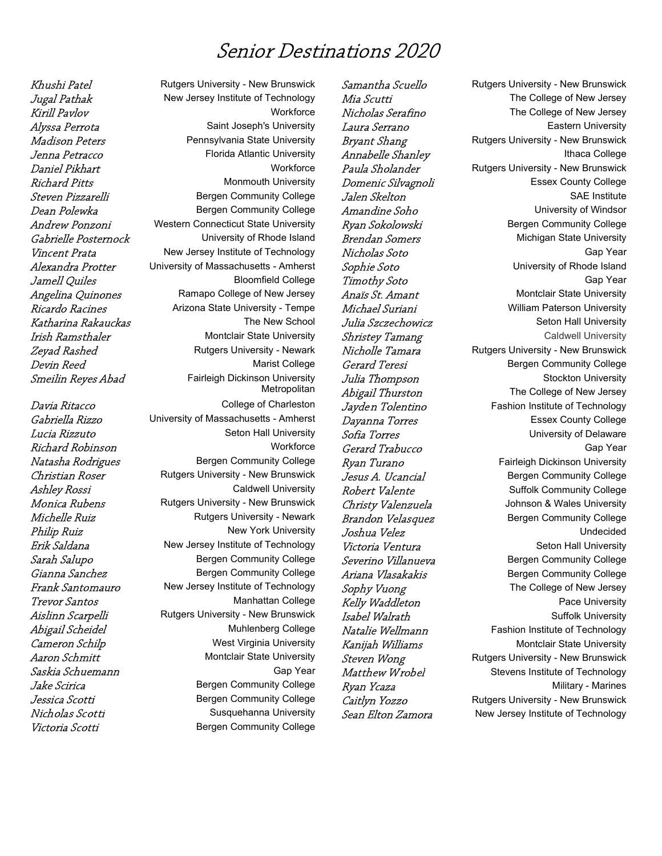## Senior Destinations 2020

Victoria Scotti **Bergen Community College** 

Khushi Patel **Rutgers University - New Brunswick** Jugal Pathak New Jersey Institute of Technology Kirill Pavlov **Workforce** Alyssa Perrota **Saint Joseph's University** Madison Peters **Pennsylvania State University** Jenna Petracco Florida Atlantic University Daniel Pikhart Workforce **Richard Pitts** Monmouth University Steven Pizzarelli Bergen Community College Dean Polewka Bergen Community College Andrew Ponzoni Western Connecticut State University Gabrielle Posternock University of Rhode Island Vincent Prata New Jersey Institute of Technology Alexandra Protter University of Massachusetts - Amherst **Jamell Quiles Bloomfield College** Angelina Quinones Ramapo College of New Jersey Ricardo Racines Mate Arizona State University - Tempe Katharina Rakauckas The New School **Irish Ramsthaler** Montclair State University Zeyad Rashed **Rutgers University - Newark Devin Reed** Marist College Smeilin Reyes Abad Fairleigh Dickinson University **Metropolitan** Davia Ritacco College of Charleston Gabriella Rizzo University of Massachusetts - Amherst **Lucia Rizzuto** Seton Hall University Richard Robinson Workforce Natasha Rodrigues **Bergen Community College** Christian Roser Rutgers University - New Brunswick Ashley Rossi Caldwell University **Monica Rubens** Rutgers University - New Brunswick Michelle Ruiz **Rutgers University - Newark** Philip Ruiz **New York University** Erik Saldana Mew Jersey Institute of Technology Sarah Salupo **Bergen Community College** Gianna Sanchez **Bergen Community College** Frank Santomauro New Jersey Institute of Technology **Trevor Santos** Manhattan College Aislinn Scarpelli Rutgers University - New Brunswick Abigail Scheidel Muhlenberg College **Cameron Schilp** West Virginia University Aaron Schmitt Montclair State University Saskia Schuemann Gap Year Jake Scirica **Bergen** Community College Jessica Scotti Bergen Community College **Nicholas Scotti** Susquehanna University

Sean Elton Zamora New Jersey Institute of Technology

Samantha Scuello Rutgers University - New Brunswick Mia Scutti The College of New Jersey Nicholas Serafino The College of New Jersey **Laura Serrano Eastern University Bryant Shang** Rutgers University - New Brunswick Annabelle Shanley **Ithaca** College Paula Sholander Rutgers University - New Brunswick **Domenic Silvagnoli** Essex County College **Jalen Skelton** SAE Institute Amandine Soho University of Windsor Ryan Sokolowski Bergen Community College **Brendan Somers** Michigan State University Ni*cholas Soto* Gap Year Sophie Soto Contract Contract University of Rhode Island Timothy Soto Gap Year Anaïs St. Amant Montclair State University Michael Suriani William Paterson University **Julia Szczechowicz** Seton Hall University **Shristey Tamang** Caldwell University *Nicholle Tamara* Rutgers University - New Brunswick Gerard Teresi **Bergen Community College Julia Thompson** Stockton University Abigail Thurston The College of New Jersey Jayden Tolentino Fashion Institute of Technology Dayanna Torres **ESSEX** County College Sofia Torres Sofia Torres University of Delaware Gerard Trabucco Gap Year Ryan Turano Fairleigh Dickinson University Jesus A. Ucancial Bergen Community College Robert Valente Suffolk Community College Christy Valenzuela **Mateurs** Johnson & Wales University **Brandon Velasquez Bergen Community College** Joshua Velez Undecided Victoria Ventura **Seton Hall University** Seton Hall University Severino Villanueva<br>Bergen Community College Ariana *Vlasakakis* Bergen Community College Sophy Vuong The College of New Jersey Kelly Waddleton **Pace University Isabel Walrath** Suffolk University Natalie Wellmann Fashion Institute of Technology Kanijah Williams Montclair State University **Steven Wong** Rutgers University - New Brunswick Matthew Wrobel Stevens Institute of Technology Ryan Ycaza **Military - Marines** Military - Marines Caitlyn Yozzo **Rutgers University - New Brunswick**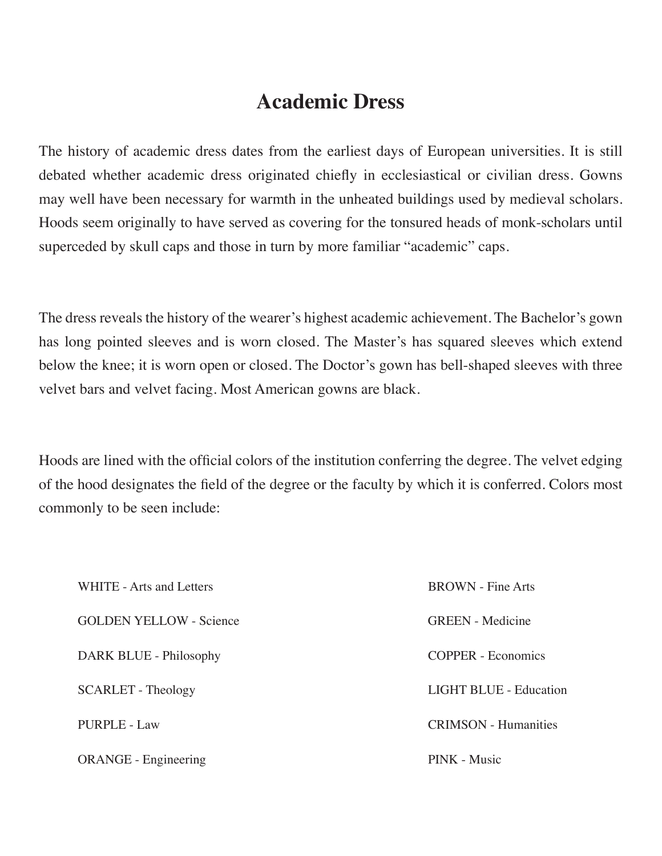## **Academic Dress**

The history of academic dress dates from the earliest days of European universities. It is still debated whether academic dress originated chiefly in ecclesiastical or civilian dress. Gowns may well have been necessary for warmth in the unheated buildings used by medieval scholars. Hoods seem originally to have served as covering for the tonsured heads of monk-scholars until superceded by skull caps and those in turn by more familiar "academic" caps.

The dress reveals the history of the wearer's highest academic achievement. The Bachelor's gown has long pointed sleeves and is worn closed. The Master's has squared sleeves which extend below the knee; it is worn open or closed. The Doctor's gown has bell-shaped sleeves with three velvet bars and velvet facing. Most American gowns are black.

Hoods are lined with the official colors of the institution conferring the degree. The velvet edging of the hood designates the field of the degree or the faculty by which it is conferred. Colors most commonly to be seen include:

| WHITE - Arts and Letters       | <b>BROWN</b> - Fine Arts      |
|--------------------------------|-------------------------------|
| <b>GOLDEN YELLOW - Science</b> | <b>GREEN</b> - Medicine       |
| DARK BLUE - Philosophy         | <b>COPPER</b> - Economics     |
| <b>SCARLET</b> - Theology      | <b>LIGHT BLUE - Education</b> |
| <b>PURPLE - Law</b>            | <b>CRIMSON</b> - Humanities   |
| <b>ORANGE</b> - Engineering    | PINK - Music                  |